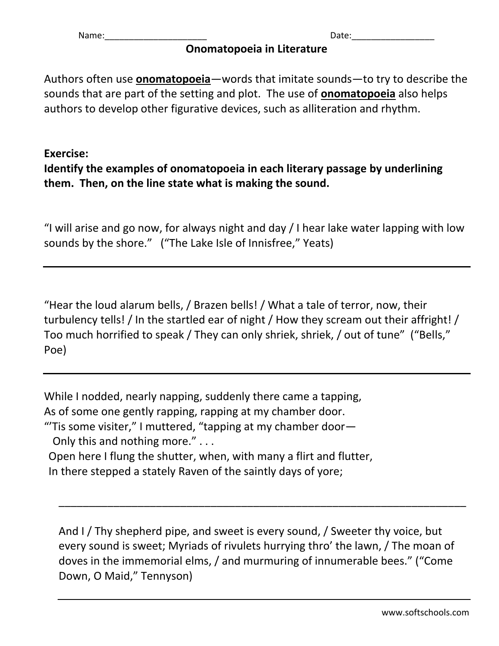Name:\_\_\_\_\_\_\_\_\_\_\_\_\_\_\_\_\_\_\_\_\_ Date:\_\_\_\_\_\_\_\_\_\_\_\_\_\_\_\_\_

## **Onomatopoeia in Literature**

Authors often use **onomatopoeia**—words that imitate sounds—to try to describe the sounds that are part of the setting and plot. The use of **onomatopoeia** also helps authors to develop other figurative devices, such as alliteration and rhythm.

## **Exercise:**

**Identify the examples of onomatopoeia in each literary passage by underlining them. Then, on the line state what is making the sound.**

"I will arise and go now, for always night and day / I hear lake water lapping with low sounds by the shore." ("The Lake Isle of Innisfree," Yeats)

"Hear the loud alarum bells, / Brazen bells! / What a tale of terror, now, their turbulency tells! / In the startled ear of night / How they scream out their affright! / Too much horrified to speak / They can only shriek, shriek, / out of tune" ("Bells," Poe)

While I nodded, nearly napping, suddenly there came a tapping, As of some one gently rapping, rapping at my chamber door.

"Tis some visiter," I muttered, "tapping at my chamber door-

Only this and nothing more." . . .

 Open here I flung the shutter, when, with many a flirt and flutter, In there stepped a stately Raven of the saintly days of yore;

And I / Thy shepherd pipe, and sweet is every sound, / Sweeter thy voice, but every sound is sweet; Myriads of rivulets hurrying thro' the lawn, / The moan of doves in the immemorial elms, / and murmuring of innumerable bees." ("Come Down, O Maid," Tennyson)

\_\_\_\_\_\_\_\_\_\_\_\_\_\_\_\_\_\_\_\_\_\_\_\_\_\_\_\_\_\_\_\_\_\_\_\_\_\_\_\_\_\_\_\_\_\_\_\_\_\_\_\_\_\_\_\_\_\_\_\_\_\_\_\_\_\_\_